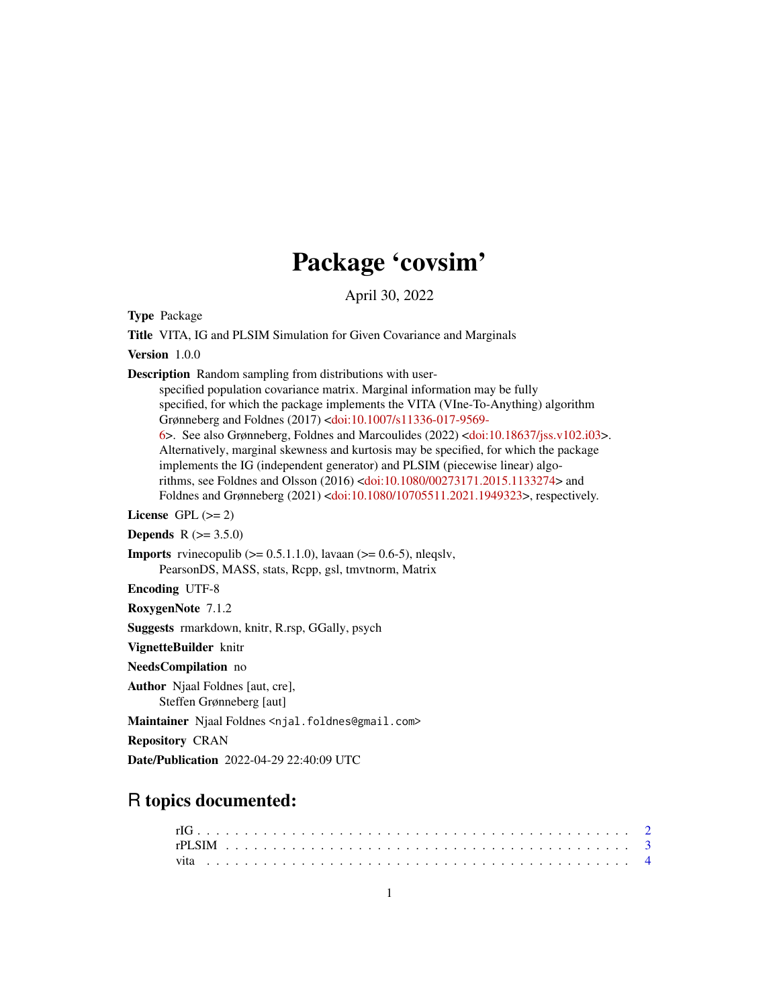# Package 'covsim'

April 30, 2022

Type Package

Title VITA, IG and PLSIM Simulation for Given Covariance and Marginals

Version 1.0.0

Description Random sampling from distributions with user-

specified population covariance matrix. Marginal information may be fully specified, for which the package implements the VITA (VIne-To-Anything) algorithm Grønneberg and Foldnes (2017) [<doi:10.1007/s11336-017-9569-](https://doi.org/10.1007/s11336-017-9569-6)

[6>](https://doi.org/10.1007/s11336-017-9569-6). See also Grønneberg, Foldnes and Marcoulides (2022) [<doi:10.18637/jss.v102.i03>](https://doi.org/10.18637/jss.v102.i03). Alternatively, marginal skewness and kurtosis may be specified, for which the package implements the IG (independent generator) and PLSIM (piecewise linear) algorithms, see Foldnes and Olsson (2016) [<doi:10.1080/00273171.2015.1133274>](https://doi.org/10.1080/00273171.2015.1133274) and Foldnes and Grønneberg (2021) [<doi:10.1080/10705511.2021.1949323>](https://doi.org/10.1080/10705511.2021.1949323), respectively.

License GPL  $(>= 2)$ 

**Depends**  $R (= 3.5.0)$ 

**Imports** rvinecopulib  $(>= 0.5.1.1.0)$ , lavaan  $(>= 0.6.5)$ , nleqslv, PearsonDS, MASS, stats, Rcpp, gsl, tmvtnorm, Matrix

Encoding UTF-8

RoxygenNote 7.1.2

Suggests rmarkdown, knitr, R.rsp, GGally, psych

VignetteBuilder knitr

NeedsCompilation no

Author Njaal Foldnes [aut, cre], Steffen Grønneberg [aut]

Maintainer Njaal Foldnes <njal.foldnes@gmail.com>

Repository CRAN

Date/Publication 2022-04-29 22:40:09 UTC

# R topics documented: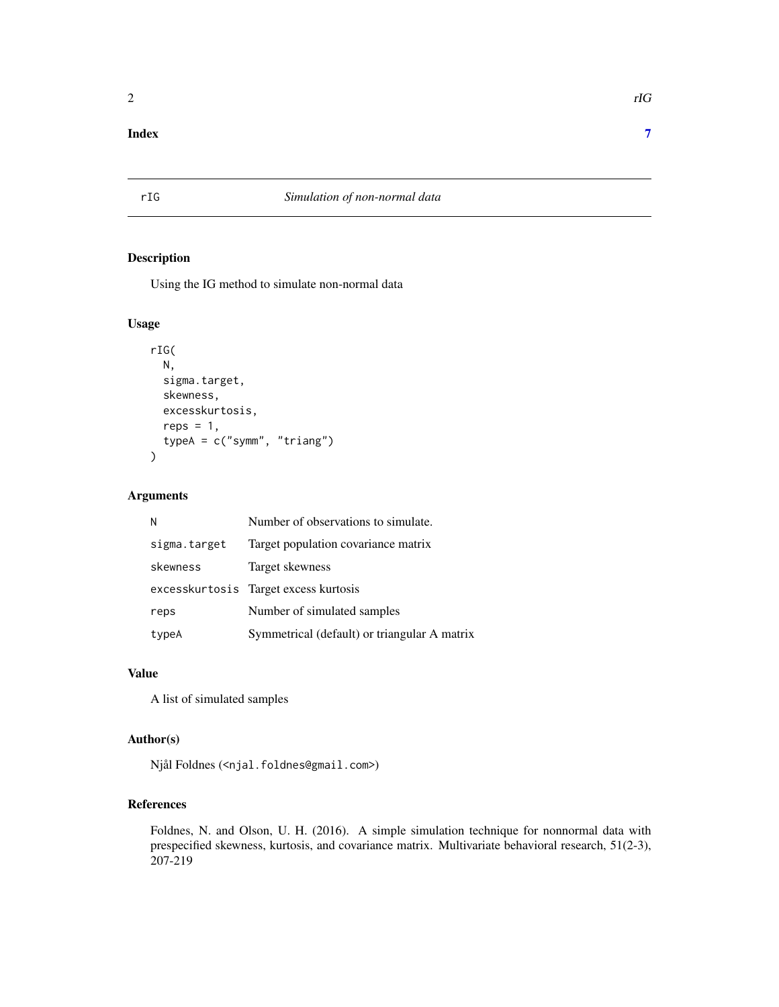## <span id="page-1-0"></span>**Index** [7](#page-6-0) **7**

# rIG *Simulation of non-normal data*

# Description

Using the IG method to simulate non-normal data

#### Usage

```
rIG(
 N,
  sigma.target,
  skewness,
  excesskurtosis,
  reps = 1,
  typeA = c("symm", "triang")
)
```
# Arguments

| N            | Number of observations to simulate.          |
|--------------|----------------------------------------------|
| sigma.target | Target population covariance matrix          |
| skewness     | Target skewness                              |
|              | excess kurtosis Target excess kurtosis       |
| reps         | Number of simulated samples                  |
| typeA        | Symmetrical (default) or triangular A matrix |

#### Value

A list of simulated samples

#### Author(s)

Njål Foldnes (<njal.foldnes@gmail.com>)

# References

Foldnes, N. and Olson, U. H. (2016). A simple simulation technique for nonnormal data with prespecified skewness, kurtosis, and covariance matrix. Multivariate behavioral research, 51(2-3), 207-219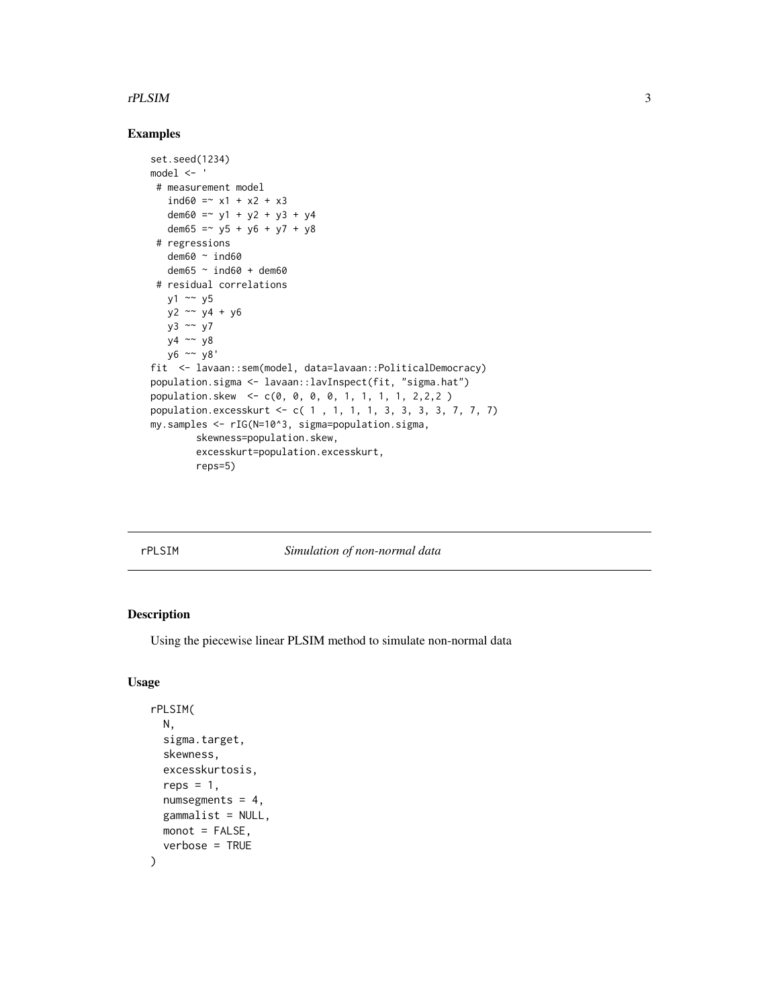#### <span id="page-2-0"></span>rPLSIM 3

# Examples

```
set.seed(1234)
model <- '
 # measurement model
   ind60 = x1 + x2 + x3dem60 =~ y1 + y2 + y3 + y4
  dem65 = -y5 + y6 + y7 + y8# regressions
  dem60 ~ ind60
   dem65 ~ ind60 + dem60
 # residual correlations
  y1 \sim y5y2 ~~ y4 + y6
  y3 ~~ y7
  y4 ~~ y8
  y6 ~~ y8'
fit <- lavaan::sem(model, data=lavaan::PoliticalDemocracy)
population.sigma <- lavaan::lavInspect(fit, "sigma.hat")
population.skew <- c(0, 0, 0, 0, 1, 1, 1, 1, 2,2,2 )
population.excesskurt <- c( 1 , 1, 1, 1, 3, 3, 3, 3, 7, 7, 7)
my.samples <- rIG(N=10^3, sigma=population.sigma,
       skewness=population.skew,
        excesskurt=population.excesskurt,
        reps=5)
```
# rPLSIM *Simulation of non-normal data*

# Description

Using the piecewise linear PLSIM method to simulate non-normal data

#### Usage

```
rPLSIM(
  N,
  sigma.target,
  skewness,
  excesskurtosis,
  reps = 1,
  numsegments = 4,
  gammalist = NULL,
 mont = FALSE,verbose = TRUE
)
```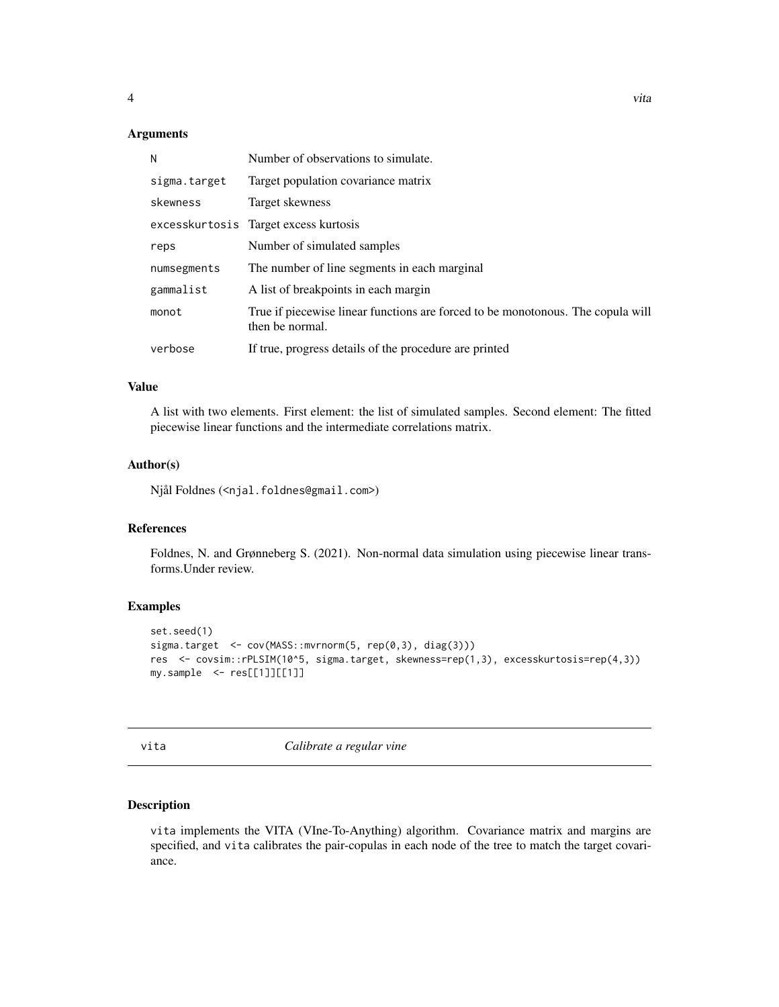#### <span id="page-3-0"></span>Arguments

| N            | Number of observations to simulate.                                                                |
|--------------|----------------------------------------------------------------------------------------------------|
| sigma.target | Target population covariance matrix                                                                |
| skewness     | Target skewness                                                                                    |
|              | excesskurtosis Target excess kurtosis                                                              |
| reps         | Number of simulated samples                                                                        |
| numsegments  | The number of line segments in each marginal                                                       |
| gammalist    | A list of breakpoints in each margin                                                               |
| monot        | True if piecewise linear functions are forced to be monotonous. The copula will<br>then be normal. |
| verbose      | If true, progress details of the procedure are printed                                             |

#### Value

A list with two elements. First element: the list of simulated samples. Second element: The fitted piecewise linear functions and the intermediate correlations matrix.

#### Author(s)

Njål Foldnes (<njal.foldnes@gmail.com>)

#### References

Foldnes, N. and Grønneberg S. (2021). Non-normal data simulation using piecewise linear transforms.Under review.

#### Examples

```
set.seed(1)
sigma.target <- cov(MASS::mvrnorm(5, rep(0,3), diag(3)))
res <- covsim::rPLSIM(10^5, sigma.target, skewness=rep(1,3), excesskurtosis=rep(4,3))
my.sample <- res[[1]][[1]]
```
vita *Calibrate a regular vine*

#### Description

vita implements the VITA (VIne-To-Anything) algorithm. Covariance matrix and margins are specified, and vita calibrates the pair-copulas in each node of the tree to match the target covariance.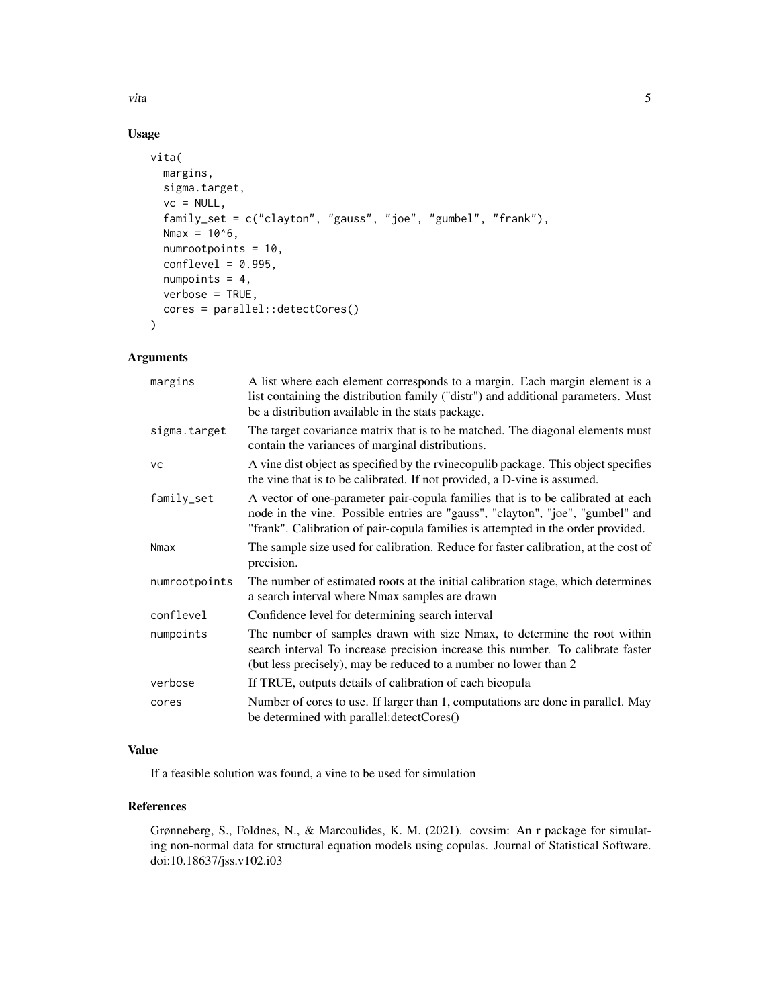vita 5

# Usage

```
vita(
 margins,
  sigma.target,
  vc = NULL,family_set = c("clayton", "gauss", "joe", "gumbel", "frank"),
 Nmax = 10^{6},
  numrootpoints = 10,
  conflevel = 0.995,numpoints = 4,
  verbose = TRUE,
 cores = parallel::detectCores()
)
```
# Arguments

| margins       | A list where each element corresponds to a margin. Each margin element is a<br>list containing the distribution family ("distr") and additional parameters. Must<br>be a distribution available in the stats package.                                 |
|---------------|-------------------------------------------------------------------------------------------------------------------------------------------------------------------------------------------------------------------------------------------------------|
| sigma.target  | The target covariance matrix that is to be matched. The diagonal elements must<br>contain the variances of marginal distributions.                                                                                                                    |
| <b>VC</b>     | A vine dist object as specified by the rvine copulib package. This object specifies<br>the vine that is to be calibrated. If not provided, a D-vine is assumed.                                                                                       |
| family_set    | A vector of one-parameter pair-copula families that is to be calibrated at each<br>node in the vine. Possible entries are "gauss", "clayton", "joe", "gumbel" and<br>"frank". Calibration of pair-copula families is attempted in the order provided. |
| Nmax          | The sample size used for calibration. Reduce for faster calibration, at the cost of<br>precision.                                                                                                                                                     |
| numrootpoints | The number of estimated roots at the initial calibration stage, which determines<br>a search interval where Nmax samples are drawn                                                                                                                    |
| conflevel     | Confidence level for determining search interval                                                                                                                                                                                                      |
| numpoints     | The number of samples drawn with size Nmax, to determine the root within<br>search interval To increase precision increase this number. To calibrate faster<br>(but less precisely), may be reduced to a number no lower than 2                       |
| verbose       | If TRUE, outputs details of calibration of each bicopula                                                                                                                                                                                              |
| cores         | Number of cores to use. If larger than 1, computations are done in parallel. May<br>be determined with parallel: detectCores()                                                                                                                        |

# Value

If a feasible solution was found, a vine to be used for simulation

## References

Grønneberg, S., Foldnes, N., & Marcoulides, K. M. (2021). covsim: An r package for simulating non-normal data for structural equation models using copulas. Journal of Statistical Software. doi:10.18637/jss.v102.i03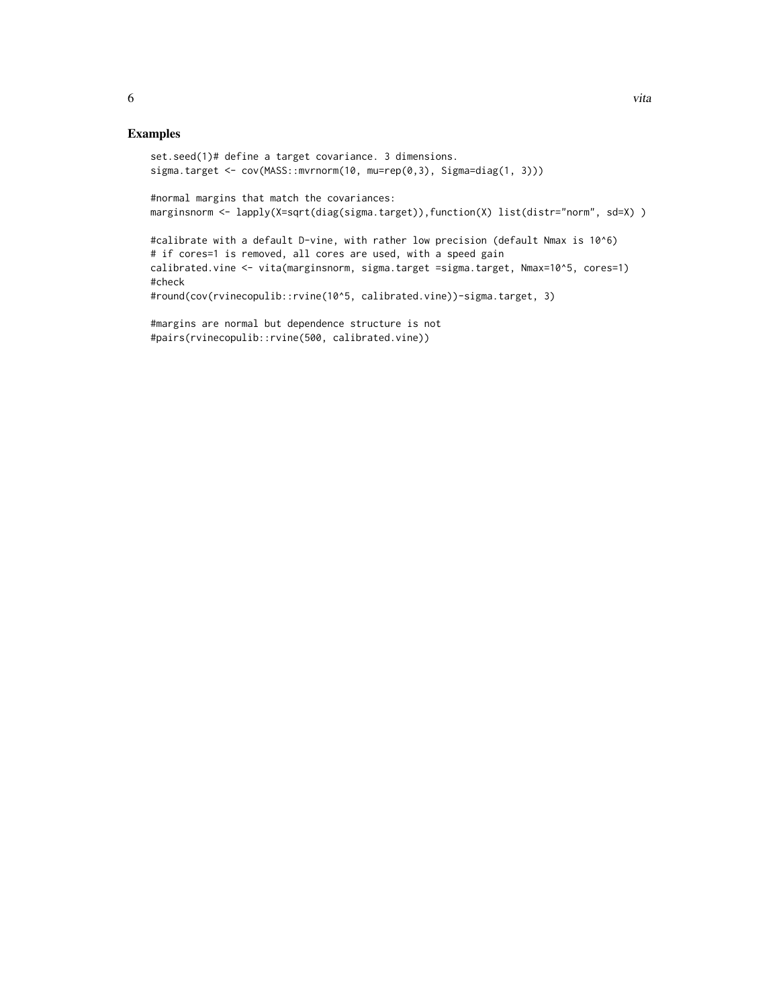```
set.seed(1)# define a target covariance. 3 dimensions.
sigma.target <- cov(MASS::mvrnorm(10, mu=rep(0,3), Sigma=diag(1, 3)))
#normal margins that match the covariances:
marginsnorm <- lapply(X=sqrt(diag(sigma.target)),function(X) list(distr="norm", sd=X) )
#calibrate with a default D-vine, with rather low precision (default Nmax is 10^6)
# if cores=1 is removed, all cores are used, with a speed gain
calibrated.vine <- vita(marginsnorm, sigma.target =sigma.target, Nmax=10^5, cores=1)
#check
#round(cov(rvinecopulib::rvine(10^5, calibrated.vine))-sigma.target, 3)
```

```
#margins are normal but dependence structure is not
#pairs(rvinecopulib::rvine(500, calibrated.vine))
```